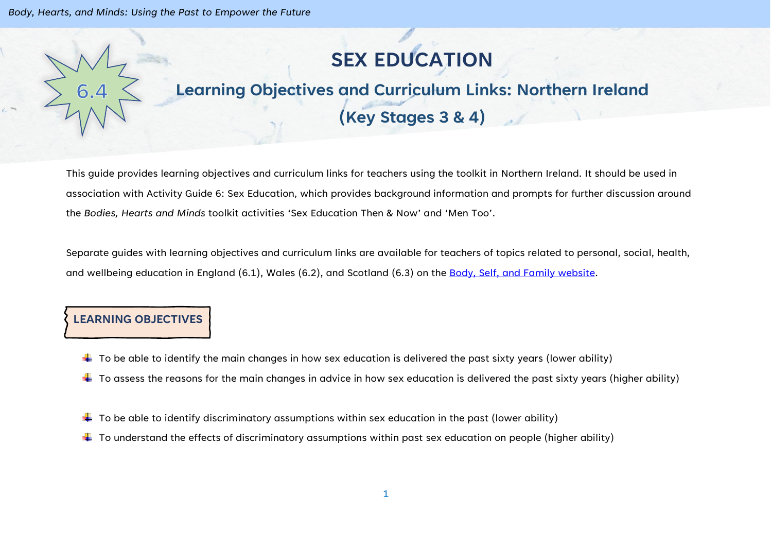# **SEX EDUCATION**

# **Learning Objectives and Curriculum Links: Northern Ireland (Key Stages 3 & 4)**

This guide provides learning objectives and curriculum links for teachers using the toolkit in Northern Ireland. It should be used in association with Activity Guide 6: Sex Education, which provides background information and prompts for further discussion around the *Bodies, Hearts and Minds* toolkit activities 'Sex Education Then & Now' and 'Men Too'.

Separate guides with learning objectives and curriculum links are available for teachers of topics related to personal, social, health, and wellbeing education in England (6.1), Wales (6.2), and Scotland (6.3) on the [Body, Self, and Family website.](https://bodyselffamily.org/)

### **LEARNING OBJECTIVES**

- $\ddotplus$  To be able to identify the main changes in how sex education is delivered the past sixty years (lower ability)
- $\ddotplus$  To assess the reasons for the main changes in advice in how sex education is delivered the past sixty years (higher ability)
- $\downarrow$  To be able to identify discriminatory assumptions within sex education in the past (lower ability)
- $\ddotplus$  To understand the effects of discriminatory assumptions within past sex education on people (higher ability)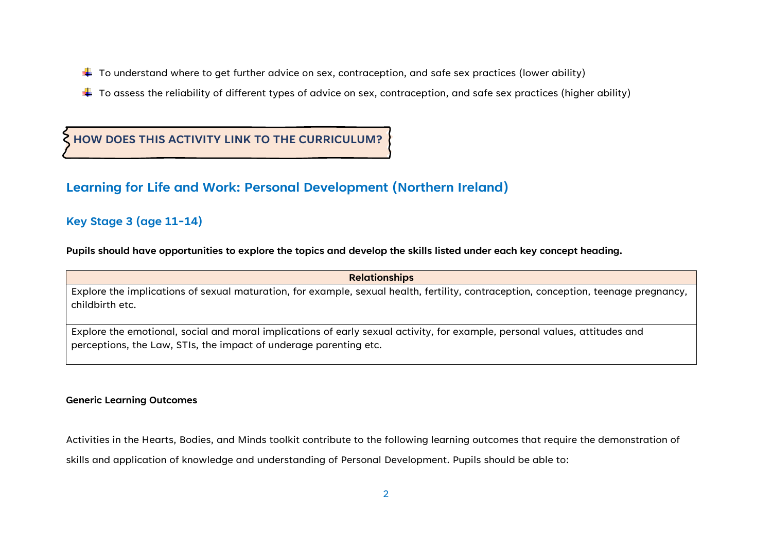- $\ddotplus$  To understand where to get further advice on sex, contraception, and safe sex practices (lower ability)
- $\ddotplus$  To assess the reliability of different types of advice on sex, contraception, and safe sex practices (higher ability)

**HOW DOES THIS ACTIVITY LINK TO THE CURRICULUM?**

## **Learning for Life and Work: Personal Development (Northern Ireland)**

#### **Key Stage 3 (age 11-14)**

**Pupils should have opportunities to explore the topics and develop the skills listed under each key concept heading.**

| <b>Relationships</b>                                                                                                                                                                            |  |  |
|-------------------------------------------------------------------------------------------------------------------------------------------------------------------------------------------------|--|--|
| Explore the implications of sexual maturation, for example, sexual health, fertility, contraception, conception, teenage pregnancy,<br>childbirth etc.                                          |  |  |
| Explore the emotional, social and moral implications of early sexual activity, for example, personal values, attitudes and<br>perceptions, the Law, STIs, the impact of underage parenting etc. |  |  |

#### **Generic Learning Outcomes**

Activities in the Hearts, Bodies, and Minds toolkit contribute to the following learning outcomes that require the demonstration of skills and application of knowledge and understanding of Personal Development. Pupils should be able to: